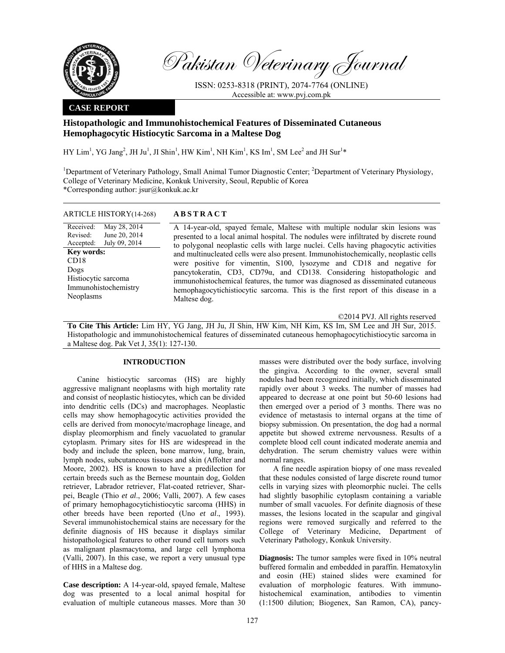

Pakistan Veterinary Journal

ISSN: 0253-8318 (PRINT), 2074-7764 (ONLINE) Accessible at: www.pvj.com.pk

## **CASE REPORT**

# **Histopathologic and Immunohistochemical Features of Disseminated Cutaneous Hemophagocytic Histiocytic Sarcoma in a Maltese Dog**

HY Lim<sup>1</sup>, YG Jang<sup>2</sup>, JH Ju<sup>1</sup>, JI Shin<sup>1</sup>, HW Kim<sup>1</sup>, NH Kim<sup>1</sup>, KS Im<sup>1</sup>, SM Lee<sup>2</sup> and JH Sur<sup>1</sup>\*

<sup>1</sup>Department of Veterinary Pathology, Small Animal Tumor Diagnostic Center; <sup>2</sup>Department of Veterinary Physiology, College of Veterinary Medicine, Konkuk University, Seoul, Republic of Korea \*Corresponding author: jsur@konkuk.ac.kr

| <b>ARTICLE HISTORY</b> (14-268) | <b>ABSTRACT</b>                                                                      |
|---------------------------------|--------------------------------------------------------------------------------------|
| Received:<br>May 28, 2014       | A 14-year-old, spayed female, Maltese with multiple nodular skin lesions was         |
| Revised: June 20, $2014$        | presented to a local animal hospital. The nodules were infiltrated by discrete round |
| Accepted: July 09, 2014         | to polygonal neoplastic cells with large nuclei. Cells having phagocytic activities  |
| <b>Key words:</b>               | and multinucleated cells were also present. Immunohistochemically, neoplastic cells  |
| CD <sub>18</sub>                | were positive for vimentin, S100, lysozyme and CD18 and negative for                 |
| Dogs                            | pancytokeratin. $CD3$ . $CD79\alpha$ , and $CD138$ . Considering histopathologic and |

Histiocytic sarcoma Immunohistochemistry Neoplasms

were positive for vimentin, S100, lysozyme and CD18 and negative for pancytokeratin, CD3, CD79α, and CD138. Considering histopathologic and immunohistochemical features, the tumor was diagnosed as disseminated cutaneous hemophagocytichistiocytic sarcoma. This is the first report of this disease in a Maltese dog.

©2014 PVJ. All rights reserved

**To Cite This Article:** Lim HY, YG Jang, JH Ju, JI Shin, HW Kim, NH Kim, KS Im, SM Lee and JH Sur, 2015. Histopathologic and immunohistochemical features of disseminated cutaneous hemophagocytichistiocytic sarcoma in a Maltese dog. Pak Vet J, 35(1): 127-130.

## **INTRODUCTION**

Canine histiocytic sarcomas (HS) are highly aggressive malignant neoplasms with high mortality rate and consist of neoplastic histiocytes, which can be divided into dendritic cells (DCs) and macrophages. Neoplastic cells may show hemophagocytic activities provided the cells are derived from monocyte/macrophage lineage, and display pleomorphism and finely vacuolated to granular cytoplasm. Primary sites for HS are widespread in the body and include the spleen, bone marrow, lung, brain, lymph nodes, subcutaneous tissues and skin (Affolter and Moore, 2002). HS is known to have a predilection for certain breeds such as the Bernese mountain dog, Golden retriever, Labrador retriever, Flat-coated retriever, Sharpei, Beagle (Thio *et al*., 2006; Valli, 2007). A few cases of primary hemophagocytichistiocytic sarcoma (HHS) in other breeds have been reported (Uno *et al*., 1993). Several immunohistochemical stains are necessary for the definite diagnosis of HS because it displays similar histopathological features to other round cell tumors such as malignant plasmacytoma, and large cell lymphoma (Valli, 2007). In this case, we report a very unusual type of HHS in a Maltese dog.

**Case description:** A 14-year-old, spayed female, Maltese dog was presented to a local animal hospital for evaluation of multiple cutaneous masses. More than 30

masses were distributed over the body surface, involving the gingiva. According to the owner, several small nodules had been recognized initially, which disseminated rapidly over about 3 weeks. The number of masses had appeared to decrease at one point but 50-60 lesions had then emerged over a period of 3 months. There was no evidence of metastasis to internal organs at the time of biopsy submission. On presentation, the dog had a normal appetite but showed extreme nervousness. Results of a complete blood cell count indicated moderate anemia and dehydration. The serum chemistry values were within normal ranges.

A fine needle aspiration biopsy of one mass revealed that these nodules consisted of large discrete round tumor cells in varying sizes with pleomorphic nuclei. The cells had slightly basophilic cytoplasm containing a variable number of small vacuoles. For definite diagnosis of these masses, the lesions located in the scapular and gingival regions were removed surgically and referred to the College of Veterinary Medicine, Department of Veterinary Pathology, Konkuk University.

**Diagnosis:** The tumor samples were fixed in 10% neutral buffered formalin and embedded in paraffin. Hematoxylin and eosin (HE) stained slides were examined for evaluation of morphologic features. With immunohistochemical examination, antibodies to vimentin (1:1500 dilution; Biogenex, San Ramon, CA), pancy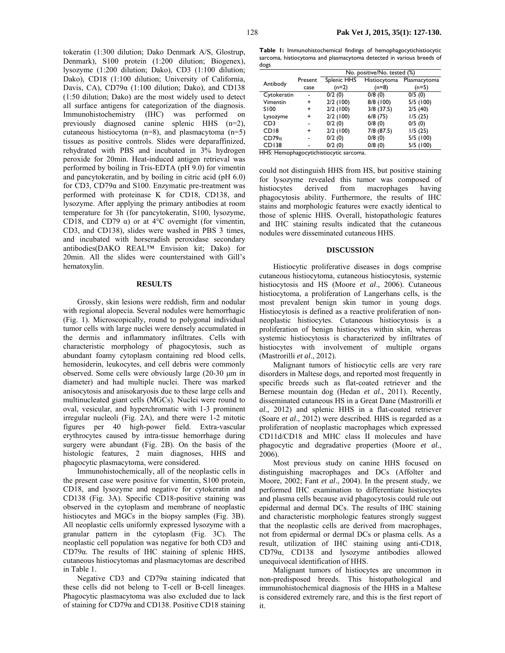tokeratin (1:300 dilution; Dako Denmark A/S, Glostrup, Denmark), S100 protein (1:200 dilution; Biogenex), lysozyme (1:200 dilution; Dako), CD3 (1:100 dilution; Dako), CD18 (1:100 dilution; University of California, Davis, CA),  $CD79\alpha$  (1:100 dilution; Dako), and CD138 (1:50 dilution; Dako) are the most widely used to detect all surface antigens for categorization of the diagnosis. Immunohistochemistry (IHC) was performed on previously diagnosed canine splenic HHS (n=2), cutaneous histiocytoma (n=8), and plasmacytoma (n=5) tissues as positive controls. Slides were deparaffinized, rehydrated with PBS and incubated in 3% hydrogen peroxide for 20min. Heat-induced antigen retrieval was performed by boiling in Tris-EDTA (pH 9.0) for vimentin and pancytokeratin, and by boiling in citric acid (pH 6.0) for CD3, CD79α and S100. Enzymatic pre-treatment was performed with proteinase K for CD18, CD138, and lysozyme. After applying the primary antibodies at room temperature for 3h (for pancytokeratin, S100, lysozyme, CD18, and CD79  $\alpha$ ) or at 4°C overnight (for vimentin, CD3, and CD138), slides were washed in PBS 3 times, and incubated with horseradish peroxidase secondary antibodies(DAKO REAL™ Envision kit; Dako) for 20min. All the slides were counterstained with Gill's hematoxylin.

#### **RESULTS**

Grossly, skin lesions were reddish, firm and nodular with regional alopecia. Several nodules were hemorrhagic (Fig. 1). Microscopically, round to polygonal individual tumor cells with large nuclei were densely accumulated in the dermis and inflammatory infiltrates. Cells with characteristic morphology of phagocytosis, such as abundant foamy cytoplasm containing red blood cells, hemosiderin, leukocytes, and cell debris were commonly observed. Some cells were obviously large (20-30 µm in diameter) and had multiple nuclei. There was marked anisocytosis and anisokaryosis due to these large cells and multinucleated giant cells (MGCs). Nuclei were round to oval, vesicular, and hyperchromatic with 1-3 prominent irregular nucleoli (Fig. 2A), and there were 1-2 mitotic figures per 40 high-power field. Extra-vascular erythrocytes caused by intra-tissue hemorrhage during surgery were abundant (Fig. 2B). On the basis of the histologic features, 2 main diagnoses, HHS and phagocytic plasmacytoma, were considered.

Immunohistochemically, all of the neoplastic cells in the present case were positive for vimentin, S100 protein, CD18, and lysozyme and negative for cytokeratin and CD138 (Fig. 3A). Specific CD18-positive staining was observed in the cytoplasm and membrane of neoplastic histiocytes and MGCs in the biopsy samples (Fig. 3B). All neoplastic cells uniformly expressed lysozyme with a granular pattern in the cytoplasm (Fig. 3C). The neoplastic cell population was negative for both CD3 and CD79α. The results of IHC staining of splenic HHS, cutaneous histiocytomas and plasmacytomas are described in Table 1.

Negative CD3 and CD79α staining indicated that these cells did not belong to T-cell or B-cell lineages. Phagocytic plasmacytoma was also excluded due to lack of staining for CD79α and CD138. Positive CD18 staining

**Table 1:** Immunohistochemical findings of hemophagocytichistiocytic sarcoma, histiocytoma and plasmacytoma detected in various breeds of dogs

|                              |         | No. positive/No. tested (%)                       |              |              |  |
|------------------------------|---------|---------------------------------------------------|--------------|--------------|--|
| Antibody                     | Present | Splenic HHS                                       | Histiocytoma | Plasmacytoma |  |
|                              | case    | $(n=2)$                                           | (n=8)        | $(n=5)$      |  |
| Cytokeratin                  |         | 0/2(0)                                            | 0/8(0)       | 0/5(0)       |  |
| Vimentin                     | +       | 2/2(100)                                          | 8/8 (100)    | 5/5(100)     |  |
| S100                         | +       | 2/2(100)                                          | $3/8$ (37.5) | 2/5(40)      |  |
| Lysozyme                     | +       | 2/2(100)                                          | 6/8(75)      | 1/5(25)      |  |
| CD <sub>3</sub>              |         | 0/2(0)                                            | 0/8(0)       | 0/5(0)       |  |
| CD <sub>18</sub>             | ÷       | 2/2(100)                                          | 7/8 (87.5)   | 1/5(25)      |  |
| $CD79\alpha$                 |         | 0/2(0)                                            | 0/8(0)       | 5/5(100)     |  |
| CD138<br>$H$ IC. III. $\sim$ |         | 0/2(0)<br>and an article to attain an article and | 0/8(0)       | 5/5(100)     |  |

HHS: Hemophagocytichistiocytic sarcoma.

could not distinguish HHS from HS, but positive staining for lysozyme revealed this tumor was composed of histiocytes derived from macrophages having phagocytosis ability. Furthermore, the results of IHC stains and morphologic features were exactly identical to those of splenic HHS. Overall, histopathologic features and IHC staining results indicated that the cutaneous nodules were disseminated cutaneous HHS.

## **DISCUSSION**

Histiocytic proliferative diseases in dogs comprise cutaneous histiocytoma, cutaneous histiocytosis, systemic histiocytosis and HS (Moore *et al*., 2006). Cutaneous histiocytoma, a proliferation of Langerhans cells, is the most prevalent benign skin tumor in young dogs. Histiocytosis is defined as a reactive proliferation of nonneoplastic histiocytes. Cutaneous histiocytosis is a proliferation of benign histiocytes within skin, whereas systemic histiocytosis is characterized by infiltrates of histiocytes with involvement of multiple organs (Mastrorilli *et al*., 2012).

Malignant tumors of histiocytic cells are very rare disorders in Maltese dogs, and reported most frequently in specific breeds such as flat-coated retriever and the Bernese mountain dog (Hedan *et al*., 2011). Recently, disseminated cutaneous HS in a Great Dane (Mastrorilli *et al*., 2012) and splenic HHS in a flat-coated retriever (Soare *et al*., 2012) were described. HHS is regarded as a proliferation of neoplastic macrophages which expressed CD11d/CD18 and MHC class II molecules and have phagocytic and degradative properties (Moore *et al*., 2006).

Most previous study on canine HHS focused on distinguishing macrophages and DCs (Affolter and Moore, 2002; Fant *et al*., 2004). In the present study, we performed IHC examination to differentiate histiocytes and plasma cells because avid phagocytosis could rule out epidermal and dermal DCs. The results of IHC staining and characteristic morphologic features strongly suggest that the neoplastic cells are derived from macrophages, not from epidermal or dermal DCs or plasma cells. As a result, utilization of IHC staining using anti-CD18, CD79α, CD138 and lysozyme antibodies allowed unequivocal identification of HHS.

Malignant tumors of histiocytes are uncommon in non-predisposed breeds. This histopathological and immunohistochemical diagnosis of the HHS in a Maltese is considered extremely rare, and this is the first report of it.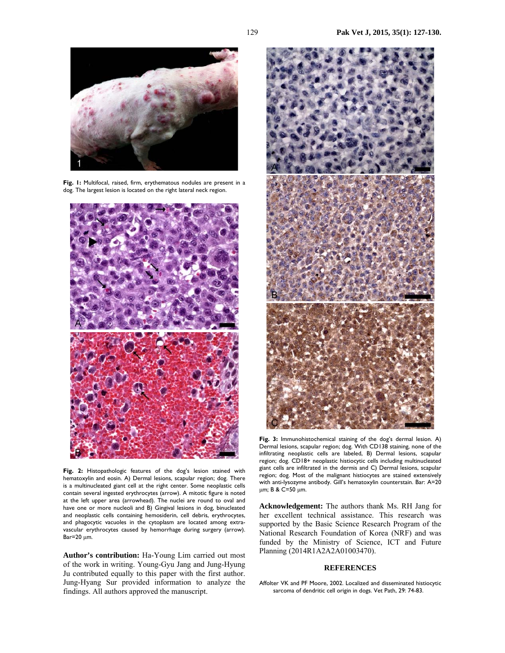

**Fig. 1:** Multifocal, raised, firm, erythematous nodules are present in a dog. The largest lesion is located on the right lateral neck region.



**Fig. 2:** Histopathologic features of the dog's lesion stained with hematoxylin and eosin. A) Dermal lesions, scapular region; dog. There is a multinucleated giant cell at the right center. Some neoplastic cells contain several ingested erythrocytes (arrow). A mitotic figure is noted at the left upper area (arrowhead). The nuclei are round to oval and have one or more nucleoli and B) Gingival lesions in dog, binucleated and neoplastic cells containing hemosiderin, cell debris, erythrocytes, and phagocytic vacuoles in the cytoplasm are located among extravascular erythrocytes caused by hemorrhage during surgery (arrow).  $Bar=20 \mu m$ .

**Author's contribution:** Ha-Young Lim carried out most of the work in writing. Young-Gyu Jang and Jung-Hyung Ju contributed equally to this paper with the first author. Jung-Hyang Sur provided information to analyze the findings. All authors approved the manuscript.



**Fig. 3:** Immunohistochemical staining of the dog's dermal lesion. A) Dermal lesions, scapular region; dog. With CD138 staining, none of the infiltrating neoplastic cells are labeled, B) Dermal lesions, scapular region; dog. CD18+ neoplastic histiocytic cells including multinucleated giant cells are infiltrated in the dermis and C) Dermal lesions, scapular region; dog. Most of the malignant histiocytes are stained extensively with anti-lysozyme antibody. Gill's hematoxylin counterstain. Bar: A=20 µm; B & C=50 µm.

**Acknowledgement:** The authors thank Ms. RH Jang for her excellent technical assistance. This research was supported by the Basic Science Research Program of the National Research Foundation of Korea (NRF) and was funded by the Ministry of Science, ICT and Future Planning (2014R1A2A2A01003470).

#### **REFERENCES**

Affolter VK and PF Moore, 2002. Localized and disseminated histiocytic sarcoma of dendritic cell origin in dogs. Vet Path, 29: 74-83.